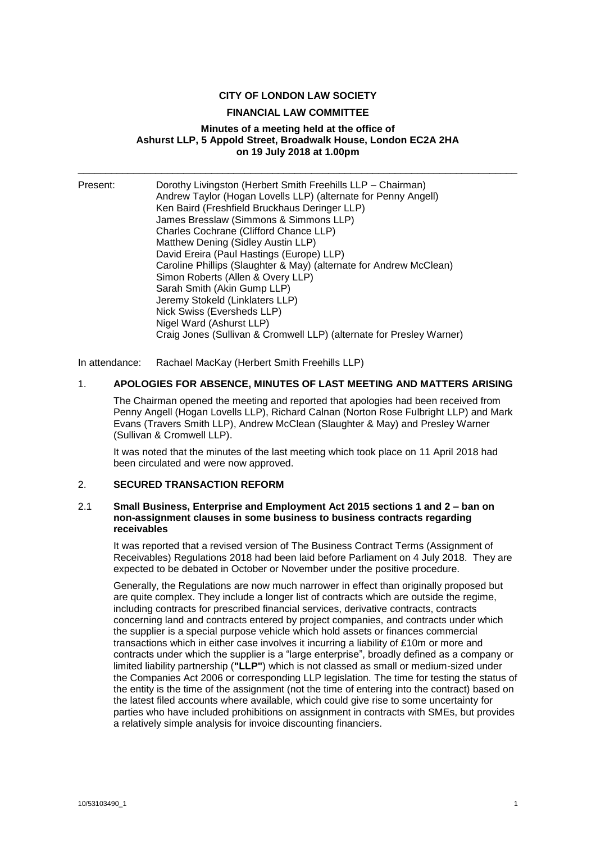## **CITY OF LONDON LAW SOCIETY**

#### **FINANCIAL LAW COMMITTEE**

## **Minutes of a meeting held at the office of Ashurst LLP, 5 Appold Street, Broadwalk House, London EC2A 2HA on 19 July 2018 at 1.00pm**

\_\_\_\_\_\_\_\_\_\_\_\_\_\_\_\_\_\_\_\_\_\_\_\_\_\_\_\_\_\_\_\_\_\_\_\_\_\_\_\_\_\_\_\_\_\_\_\_\_\_\_\_\_\_\_\_\_\_\_\_\_\_\_\_\_\_\_\_\_\_\_\_\_\_\_\_\_\_\_

| Nick Swiss (Eversheds LLP)                                           | Andrew Taylor (Hogan Lovells LLP) (alternate for Penny Angell)<br>Caroline Phillips (Slaughter & May) (alternate for Andrew McClean) |
|----------------------------------------------------------------------|--------------------------------------------------------------------------------------------------------------------------------------|
|                                                                      |                                                                                                                                      |
| Nigel Ward (Ashurst LLP)                                             |                                                                                                                                      |
| Craig Jones (Sullivan & Cromwell LLP) (alternate for Presley Warner) |                                                                                                                                      |

In attendance: Rachael MacKay (Herbert Smith Freehills LLP)

#### 1. **APOLOGIES FOR ABSENCE, MINUTES OF LAST MEETING AND MATTERS ARISING**

The Chairman opened the meeting and reported that apologies had been received from Penny Angell (Hogan Lovells LLP), Richard Calnan (Norton Rose Fulbright LLP) and Mark Evans (Travers Smith LLP), Andrew McClean (Slaughter & May) and Presley Warner (Sullivan & Cromwell LLP).

It was noted that the minutes of the last meeting which took place on 11 April 2018 had been circulated and were now approved.

#### 2. **SECURED TRANSACTION REFORM**

#### 2.1 **Small Business, Enterprise and Employment Act 2015 sections 1 and 2 – ban on non-assignment clauses in some business to business contracts regarding receivables**

It was reported that a revised version of The Business Contract Terms (Assignment of Receivables) Regulations 2018 had been laid before Parliament on 4 July 2018. They are expected to be debated in October or November under the positive procedure.

Generally, the Regulations are now much narrower in effect than originally proposed but are quite complex. They include a longer list of contracts which are outside the regime, including contracts for prescribed financial services, derivative contracts, contracts concerning land and contracts entered by project companies, and contracts under which the supplier is a special purpose vehicle which hold assets or finances commercial transactions which in either case involves it incurring a liability of £10m or more and contracts under which the supplier is a "large enterprise", broadly defined as a company or limited liability partnership (**"LLP"**) which is not classed as small or medium-sized under the Companies Act 2006 or corresponding LLP legislation. The time for testing the status of the entity is the time of the assignment (not the time of entering into the contract) based on the latest filed accounts where available, which could give rise to some uncertainty for parties who have included prohibitions on assignment in contracts with SMEs, but provides a relatively simple analysis for invoice discounting financiers.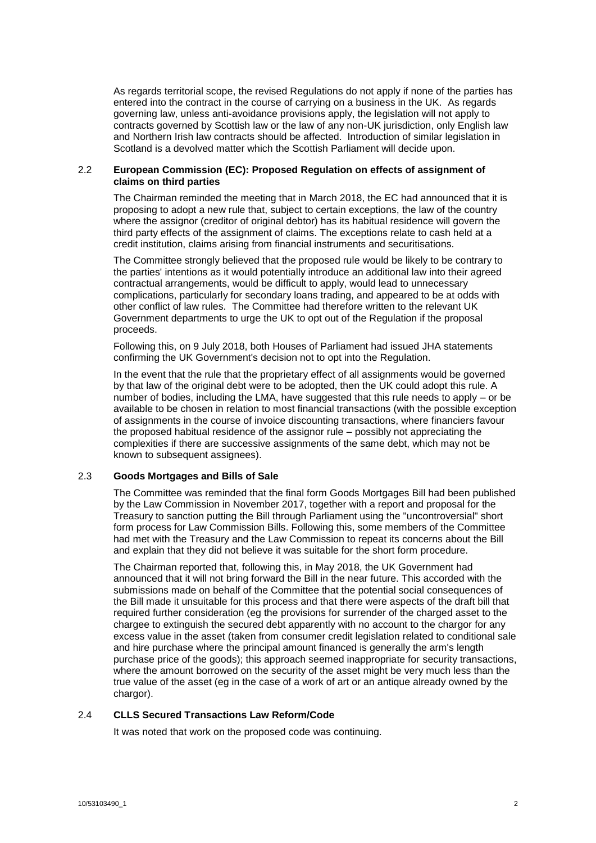As regards territorial scope, the revised Regulations do not apply if none of the parties has entered into the contract in the course of carrying on a business in the UK. As regards governing law, unless anti-avoidance provisions apply, the legislation will not apply to contracts governed by Scottish law or the law of any non-UK jurisdiction, only English law and Northern Irish law contracts should be affected. Introduction of similar legislation in Scotland is a devolved matter which the Scottish Parliament will decide upon.

## 2.2 **European Commission (EC): Proposed Regulation on effects of assignment of claims on third parties**

The Chairman reminded the meeting that in March 2018, the EC had announced that it is proposing to adopt a new rule that, subject to certain exceptions, the law of the country where the assignor (creditor of original debtor) has its habitual residence will govern the third party effects of the assignment of claims. The exceptions relate to cash held at a credit institution, claims arising from financial instruments and securitisations.

The Committee strongly believed that the proposed rule would be likely to be contrary to the parties' intentions as it would potentially introduce an additional law into their agreed contractual arrangements, would be difficult to apply, would lead to unnecessary complications, particularly for secondary loans trading, and appeared to be at odds with other conflict of law rules. The Committee had therefore written to the relevant UK Government departments to urge the UK to opt out of the Regulation if the proposal proceeds.

Following this, on 9 July 2018, both Houses of Parliament had issued JHA statements confirming the UK Government's decision not to opt into the Regulation.

In the event that the rule that the proprietary effect of all assignments would be governed by that law of the original debt were to be adopted, then the UK could adopt this rule. A number of bodies, including the LMA, have suggested that this rule needs to apply – or be available to be chosen in relation to most financial transactions (with the possible exception of assignments in the course of invoice discounting transactions, where financiers favour the proposed habitual residence of the assignor rule – possibly not appreciating the complexities if there are successive assignments of the same debt, which may not be known to subsequent assignees).

# 2.3 **Goods Mortgages and Bills of Sale**

The Committee was reminded that the final form Goods Mortgages Bill had been published by the Law Commission in November 2017, together with a report and proposal for the Treasury to sanction putting the Bill through Parliament using the "uncontroversial" short form process for Law Commission Bills. Following this, some members of the Committee had met with the Treasury and the Law Commission to repeat its concerns about the Bill and explain that they did not believe it was suitable for the short form procedure.

The Chairman reported that, following this, in May 2018, the UK Government had announced that it will not bring forward the Bill in the near future. This accorded with the submissions made on behalf of the Committee that the potential social consequences of the Bill made it unsuitable for this process and that there were aspects of the draft bill that required further consideration (eg the provisions for surrender of the charged asset to the chargee to extinguish the secured debt apparently with no account to the chargor for any excess value in the asset (taken from consumer credit legislation related to conditional sale and hire purchase where the principal amount financed is generally the arm's length purchase price of the goods); this approach seemed inappropriate for security transactions, where the amount borrowed on the security of the asset might be very much less than the true value of the asset (eg in the case of a work of art or an antique already owned by the chargor).

# 2.4 **CLLS Secured Transactions Law Reform/Code**

It was noted that work on the proposed code was continuing.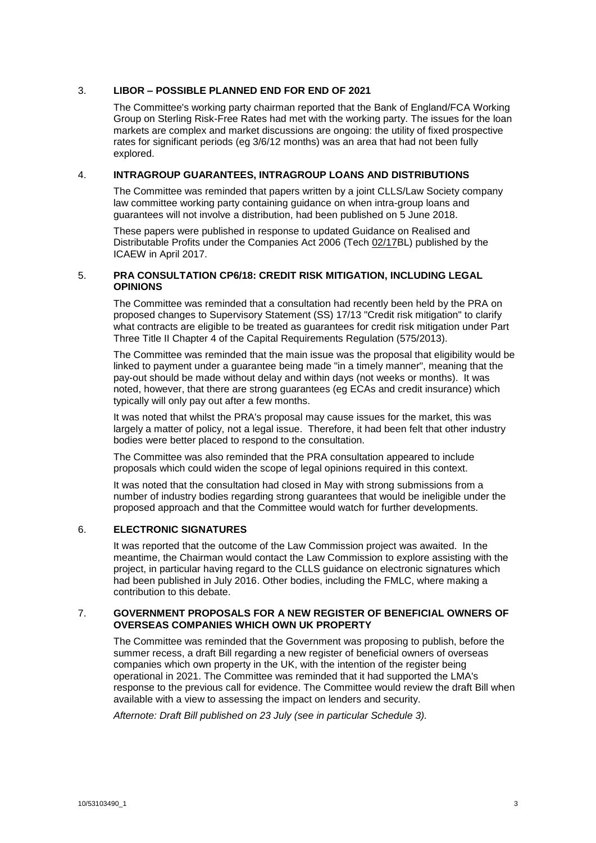# 3. **LIBOR – POSSIBLE PLANNED END FOR END OF 2021**

The Committee's working party chairman reported that the Bank of England/FCA Working Group on Sterling Risk-Free Rates had met with the working party. The issues for the loan markets are complex and market discussions are ongoing: the utility of fixed prospective rates for significant periods (eg 3/6/12 months) was an area that had not been fully explored.

# 4. **INTRAGROUP GUARANTEES, INTRAGROUP LOANS AND DISTRIBUTIONS**

The Committee was reminded that papers written by a joint CLLS/Law Society company law committee working party containing guidance on when intra-group loans and guarantees will not involve a distribution, had been published on 5 June 2018.

These papers were published in response to updated Guidance on Realised and Distributable Profits under the Companies Act 2006 (Tech 02/17BL) published by the ICAEW in April 2017.

# 5. **PRA CONSULTATION CP6/18: CREDIT RISK MITIGATION, INCLUDING LEGAL OPINIONS**

The Committee was reminded that a consultation had recently been held by the PRA on proposed changes to Supervisory Statement (SS) 17/13 "Credit risk mitigation" to clarify what contracts are eligible to be treated as guarantees for credit risk mitigation under Part Three Title II Chapter 4 of the Capital Requirements Regulation (575/2013).

The Committee was reminded that the main issue was the proposal that eligibility would be linked to payment under a guarantee being made "in a timely manner", meaning that the pay-out should be made without delay and within days (not weeks or months). It was noted, however, that there are strong guarantees (eg ECAs and credit insurance) which typically will only pay out after a few months.

It was noted that whilst the PRA's proposal may cause issues for the market, this was largely a matter of policy, not a legal issue. Therefore, it had been felt that other industry bodies were better placed to respond to the consultation.

The Committee was also reminded that the PRA consultation appeared to include proposals which could widen the scope of legal opinions required in this context.

It was noted that the consultation had closed in May with strong submissions from a number of industry bodies regarding strong guarantees that would be ineligible under the proposed approach and that the Committee would watch for further developments.

#### 6. **ELECTRONIC SIGNATURES**

It was reported that the outcome of the Law Commission project was awaited. In the meantime, the Chairman would contact the Law Commission to explore assisting with the project, in particular having regard to the CLLS guidance on electronic signatures which had been published in July 2016. Other bodies, including the FMLC, where making a contribution to this debate.

#### 7. **GOVERNMENT PROPOSALS FOR A NEW REGISTER OF BENEFICIAL OWNERS OF OVERSEAS COMPANIES WHICH OWN UK PROPERTY**

The Committee was reminded that the Government was proposing to publish, before the summer recess, a draft Bill regarding a new register of beneficial owners of overseas companies which own property in the UK, with the intention of the register being operational in 2021. The Committee was reminded that it had supported the LMA's response to the previous call for evidence. The Committee would review the draft Bill when available with a view to assessing the impact on lenders and security.

*Afternote: Draft Bill published on 23 July (see in particular Schedule 3).*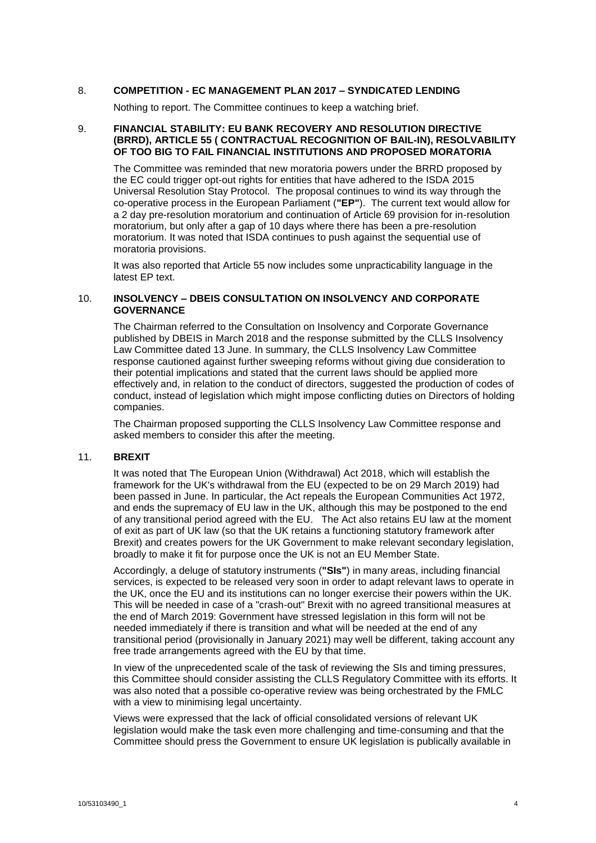#### 8. **COMPETITION - EC MANAGEMENT PLAN 2017 – SYNDICATED LENDING**

Nothing to report. The Committee continues to keep a watching brief.

#### 9. **FINANCIAL STABILITY: EU BANK RECOVERY AND RESOLUTION DIRECTIVE (BRRD), ARTICLE 55 ( CONTRACTUAL RECOGNITION OF BAIL-IN), RESOLVABILITY OF TOO BIG TO FAIL FINANCIAL INSTITUTIONS AND PROPOSED MORATORIA**

The Committee was reminded that new moratoria powers under the BRRD proposed by the EC could trigger opt-out rights for entities that have adhered to the ISDA 2015 Universal Resolution Stay Protocol. The proposal continues to wind its way through the co-operative process in the European Parliament (**"EP"**). The current text would allow for a 2 day pre-resolution moratorium and continuation of Article 69 provision for in-resolution moratorium, but only after a gap of 10 days where there has been a pre-resolution moratorium. It was noted that ISDA continues to push against the sequential use of moratoria provisions.

It was also reported that Article 55 now includes some unpracticability language in the latest EP text.

#### 10. **INSOLVENCY – DBEIS CONSULTATION ON INSOLVENCY AND CORPORATE GOVERNANCE**

The Chairman referred to the Consultation on Insolvency and Corporate Governance published by DBEIS in March 2018 and the response submitted by the CLLS Insolvency Law Committee dated 13 June. In summary, the CLLS Insolvency Law Committee response cautioned against further sweeping reforms without giving due consideration to their potential implications and stated that the current laws should be applied more effectively and, in relation to the conduct of directors, suggested the production of codes of conduct, instead of legislation which might impose conflicting duties on Directors of holding companies.

The Chairman proposed supporting the CLLS Insolvency Law Committee response and asked members to consider this after the meeting.

#### 11. **BREXIT**

It was noted that The European Union (Withdrawal) Act 2018, which will establish the framework for the UK's withdrawal from the EU (expected to be on 29 March 2019) had been passed in June. In particular, the Act repeals the European Communities Act 1972, and ends the supremacy of EU law in the UK, although this may be postponed to the end of any transitional period agreed with the EU. The Act also retains EU law at the moment of exit as part of UK law (so that the UK retains a functioning statutory framework after Brexit) and creates powers for the UK Government to make relevant secondary legislation, broadly to make it fit for purpose once the UK is not an EU Member State.

Accordingly, a deluge of statutory instruments (**"SIs"**) in many areas, including financial services, is expected to be released very soon in order to adapt relevant laws to operate in the UK, once the EU and its institutions can no longer exercise their powers within the UK. This will be needed in case of a "crash-out" Brexit with no agreed transitional measures at the end of March 2019: Government have stressed legislation in this form will not be needed immediately if there is transition and what will be needed at the end of any transitional period (provisionally in January 2021) may well be different, taking account any free trade arrangements agreed with the EU by that time.

In view of the unprecedented scale of the task of reviewing the SIs and timing pressures, this Committee should consider assisting the CLLS Regulatory Committee with its efforts. It was also noted that a possible co-operative review was being orchestrated by the FMLC with a view to minimising legal uncertainty.

Views were expressed that the lack of official consolidated versions of relevant UK legislation would make the task even more challenging and time-consuming and that the Committee should press the Government to ensure UK legislation is publically available in